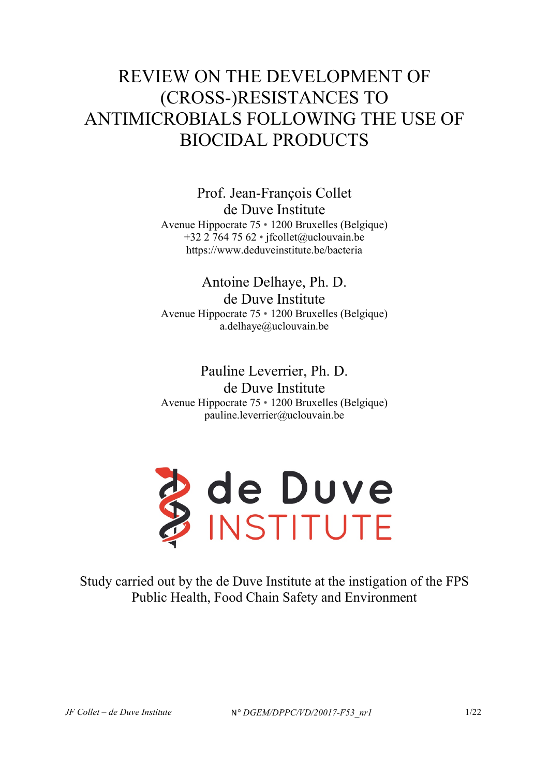# REVIEW ON THE DEVELOPMENT OF (CROSS-)RESISTANCES TO ANTIMICROBIALS FOLLOWING THE USE OF BIOCIDAL PRODUCTS

Prof. Jean-François Collet de Duve Institute Avenue Hippocrate 75 • 1200 Bruxelles (Belgique) +32 2 764 75 62 • jfcollet@uclouvain.be https://www.deduveinstitute.be/bacteria

Antoine Delhaye, Ph. D. de Duve Institute Avenue Hippocrate 75 • 1200 Bruxelles (Belgique) a.delhaye@uclouvain.be

Pauline Leverrier, Ph. D. de Duve Institute Avenue Hippocrate 75 • 1200 Bruxelles (Belgique) pauline.leverrier@uclouvain.be



Study carried out by the de Duve Institute at the instigation of the FPS Public Health, Food Chain Safety and Environment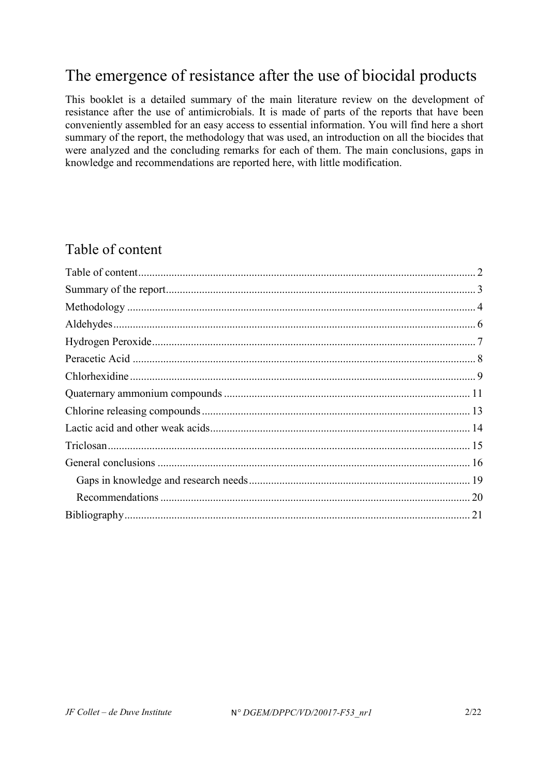# The emergence of resistance after the use of biocidal products

This booklet is a detailed summary of the main literature review on the development of resistance after the use of antimicrobials. It is made of parts of the reports that have been conveniently assembled for an easy access to essential information. You will find here a short summary of the report, the methodology that was used, an introduction on all the biocides that were analyzed and the concluding remarks for each of them. The main conclusions, gaps in knowledge and recommendations are reported here, with little modification.

### <span id="page-1-0"></span>Table of content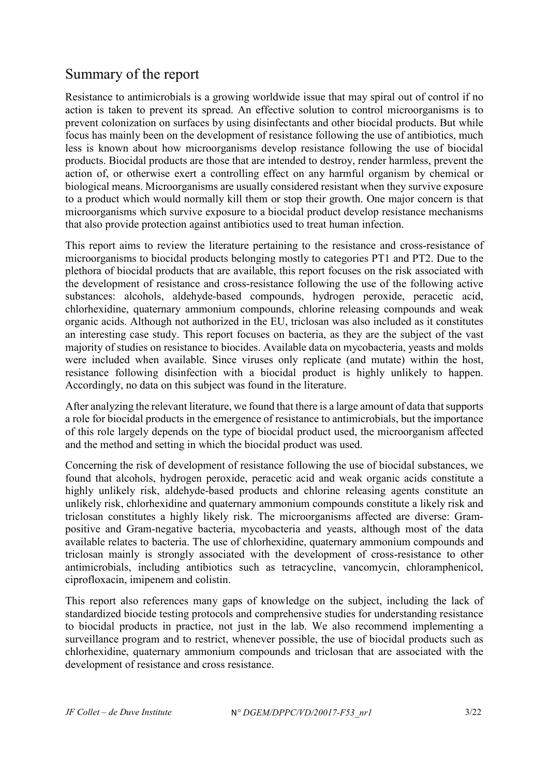### <span id="page-2-0"></span>Summary of the report

Resistance to antimicrobials is a growing worldwide issue that may spiral out of control if no action is taken to prevent its spread. An effective solution to control microorganisms is to prevent colonization on surfaces by using disinfectants and other biocidal products. But while focus has mainly been on the development of resistance following the use of antibiotics, much less is known about how microorganisms develop resistance following the use of biocidal products. Biocidal products are those that are intended to destroy, render harmless, prevent the action of, or otherwise exert a controlling effect on any harmful organism by chemical or biological means. Microorganisms are usually considered resistant when they survive exposure to a product which would normally kill them or stop their growth. One major concern is that microorganisms which survive exposure to a biocidal product develop resistance mechanisms that also provide protection against antibiotics used to treat human infection.

This report aims to review the literature pertaining to the resistance and cross-resistance of microorganisms to biocidal products belonging mostly to categories PT1 and PT2. Due to the plethora of biocidal products that are available, this report focuses on the risk associated with the development of resistance and cross-resistance following the use of the following active substances: alcohols, aldehyde-based compounds, hydrogen peroxide, peracetic acid, chlorhexidine, quaternary ammonium compounds, chlorine releasing compounds and weak organic acids. Although not authorized in the EU, triclosan was also included as it constitutes an interesting case study. This report focuses on bacteria, as they are the subject of the vast majority of studies on resistance to biocides. Available data on mycobacteria, yeasts and molds were included when available. Since viruses only replicate (and mutate) within the host, resistance following disinfection with a biocidal product is highly unlikely to happen. Accordingly, no data on this subject was found in the literature.

After analyzing the relevant literature, we found that there is a large amount of data that supports a role for biocidal products in the emergence of resistance to antimicrobials, but the importance of this role largely depends on the type of biocidal product used, the microorganism affected and the method and setting in which the biocidal product was used.

Concerning the risk of development of resistance following the use of biocidal substances, we found that alcohols, hydrogen peroxide, peracetic acid and weak organic acids constitute a highly unlikely risk, aldehyde-based products and chlorine releasing agents constitute an unlikely risk, chlorhexidine and quaternary ammonium compounds constitute a likely risk and triclosan constitutes a highly likely risk. The microorganisms affected are diverse: Grampositive and Gram-negative bacteria, mycobacteria and yeasts, although most of the data available relates to bacteria. The use of chlorhexidine, quaternary ammonium compounds and triclosan mainly is strongly associated with the development of cross-resistance to other antimicrobials, including antibiotics such as tetracycline, vancomycin, chloramphenicol, ciprofloxacin, imipenem and colistin.

This report also references many gaps of knowledge on the subject, including the lack of standardized biocide testing protocols and comprehensive studies for understanding resistance to biocidal products in practice, not just in the lab. We also recommend implementing a surveillance program and to restrict, whenever possible, the use of biocidal products such as chlorhexidine, quaternary ammonium compounds and triclosan that are associated with the development of resistance and cross resistance.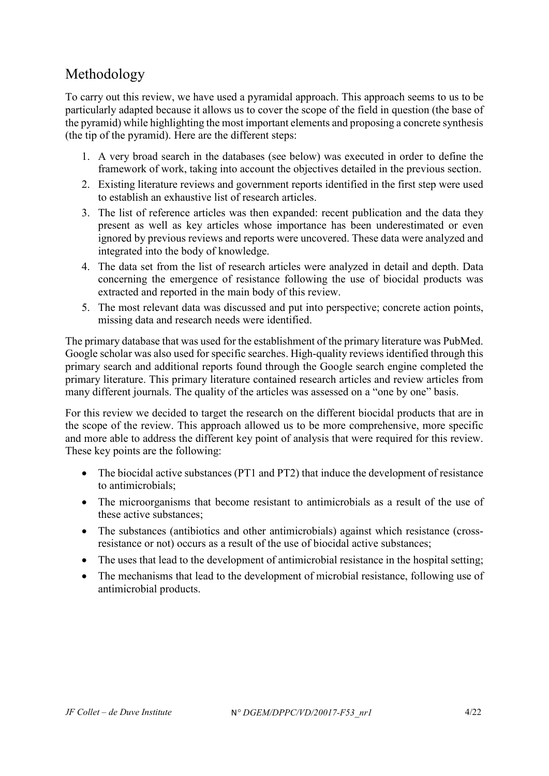# <span id="page-3-0"></span>Methodology

To carry out this review, we have used a pyramidal approach. This approach seems to us to be particularly adapted because it allows us to cover the scope of the field in question (the base of the pyramid) while highlighting the most important elements and proposing a concrete synthesis (the tip of the pyramid). Here are the different steps:

- 1. A very broad search in the databases (see below) was executed in order to define the framework of work, taking into account the objectives detailed in the previous section.
- 2. Existing literature reviews and government reports identified in the first step were used to establish an exhaustive list of research articles.
- 3. The list of reference articles was then expanded: recent publication and the data they present as well as key articles whose importance has been underestimated or even ignored by previous reviews and reports were uncovered. These data were analyzed and integrated into the body of knowledge.
- 4. The data set from the list of research articles were analyzed in detail and depth. Data concerning the emergence of resistance following the use of biocidal products was extracted and reported in the main body of this review.
- 5. The most relevant data was discussed and put into perspective; concrete action points, missing data and research needs were identified.

The primary database that was used for the establishment of the primary literature was PubMed. Google scholar was also used for specific searches. High-quality reviews identified through this primary search and additional reports found through the Google search engine completed the primary literature. This primary literature contained research articles and review articles from many different journals. The quality of the articles was assessed on a "one by one" basis.

For this review we decided to target the research on the different biocidal products that are in the scope of the review. This approach allowed us to be more comprehensive, more specific and more able to address the different key point of analysis that were required for this review. These key points are the following:

- The biocidal active substances (PT1 and PT2) that induce the development of resistance to antimicrobials;
- The microorganisms that become resistant to antimicrobials as a result of the use of these active substances;
- The substances (antibiotics and other antimicrobials) against which resistance (crossresistance or not) occurs as a result of the use of biocidal active substances;
- The uses that lead to the development of antimicrobial resistance in the hospital setting;
- The mechanisms that lead to the development of microbial resistance, following use of antimicrobial products.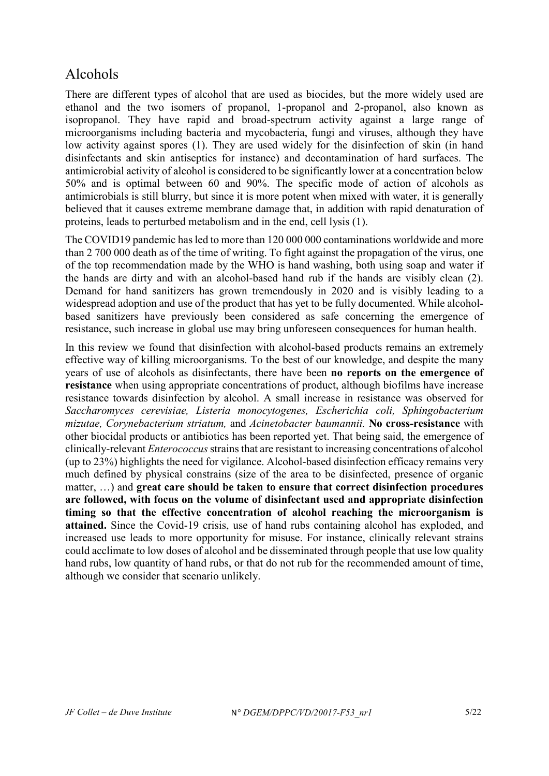# Alcohols

There are different types of alcohol that are used as biocides, but the more widely used are ethanol and the two isomers of propanol, 1-propanol and 2-propanol, also known as isopropanol. They have rapid and broad-spectrum activity against a large range of microorganisms including bacteria and mycobacteria, fungi and viruses, although they have low activity against spores (1). They are used widely for the disinfection of skin (in hand disinfectants and skin antiseptics for instance) and decontamination of hard surfaces. The antimicrobial activity of alcohol is considered to be significantly lower at a concentration below 50% and is optimal between 60 and 90%. The specific mode of action of alcohols as antimicrobials is still blurry, but since it is more potent when mixed with water, it is generally believed that it causes extreme membrane damage that, in addition with rapid denaturation of proteins, leads to perturbed metabolism and in the end, cell lysis (1).

The COVID19 pandemic has led to more than 120 000 000 contaminations worldwide and more than 2 700 000 death as of the time of writing. To fight against the propagation of the virus, one of the top recommendation made by the WHO is hand washing, both using soap and water if the hands are dirty and with an alcohol-based hand rub if the hands are visibly clean (2). Demand for hand sanitizers has grown tremendously in 2020 and is visibly leading to a widespread adoption and use of the product that has yet to be fully documented. While alcoholbased sanitizers have previously been considered as safe concerning the emergence of resistance, such increase in global use may bring unforeseen consequences for human health.

In this review we found that disinfection with alcohol-based products remains an extremely effective way of killing microorganisms. To the best of our knowledge, and despite the many years of use of alcohols as disinfectants, there have been **no reports on the emergence of resistance** when using appropriate concentrations of product, although biofilms have increase resistance towards disinfection by alcohol. A small increase in resistance was observed for *Saccharomyces cerevisiae, Listeria monocytogenes, Escherichia coli, Sphingobacterium mizutae, Corynebacterium striatum,* and *Acinetobacter baumannii.* **No cross-resistance** with other biocidal products or antibiotics has been reported yet. That being said, the emergence of clinically-relevant *Enterococcus*strains that are resistant to increasing concentrations of alcohol (up to 23%) highlights the need for vigilance. Alcohol-based disinfection efficacy remains very much defined by physical constrains (size of the area to be disinfected, presence of organic matter, …) and **great care should be taken to ensure that correct disinfection procedures are followed, with focus on the volume of disinfectant used and appropriate disinfection timing so that the effective concentration of alcohol reaching the microorganism is attained.** Since the Covid-19 crisis, use of hand rubs containing alcohol has exploded, and increased use leads to more opportunity for misuse. For instance, clinically relevant strains could acclimate to low doses of alcohol and be disseminated through people that use low quality hand rubs, low quantity of hand rubs, or that do not rub for the recommended amount of time, although we consider that scenario unlikely.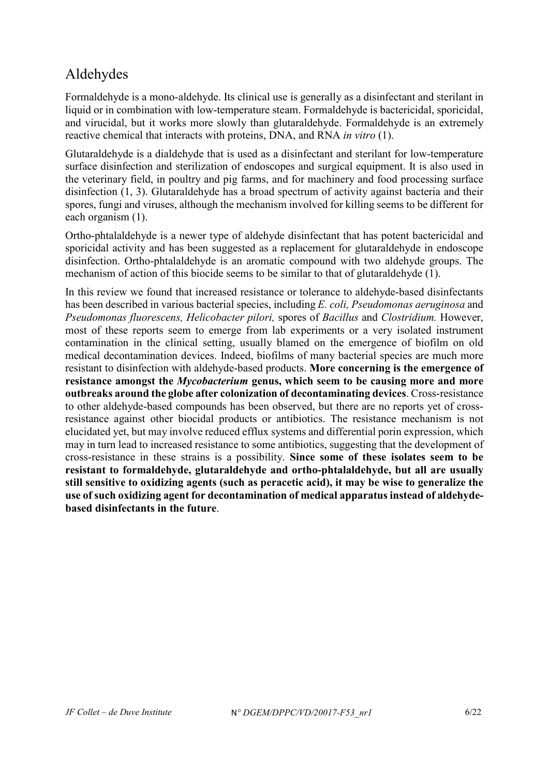# <span id="page-5-0"></span>Aldehydes

Formaldehyde is a mono-aldehyde. Its clinical use is generally as a disinfectant and sterilant in liquid or in combination with low-temperature steam. Formaldehyde is bactericidal, sporicidal, and virucidal, but it works more slowly than glutaraldehyde. Formaldehyde is an extremely reactive chemical that interacts with proteins, DNA, and RNA *in vitro* (1).

Glutaraldehyde is a dialdehyde that is used as a disinfectant and sterilant for low-temperature surface disinfection and sterilization of endoscopes and surgical equipment. It is also used in the veterinary field, in poultry and pig farms, and for machinery and food processing surface disinfection (1, 3). Glutaraldehyde has a broad spectrum of activity against bacteria and their spores, fungi and viruses, although the mechanism involved for killing seems to be different for each organism (1).

Ortho-phtalaldehyde is a newer type of aldehyde disinfectant that has potent bactericidal and sporicidal activity and has been suggested as a replacement for glutaraldehyde in endoscope disinfection. Ortho-phtalaldehyde is an aromatic compound with two aldehyde groups. The mechanism of action of this biocide seems to be similar to that of glutaraldehyde (1).

In this review we found that increased resistance or tolerance to aldehyde-based disinfectants has been described in various bacterial species, including *E. coli, Pseudomonas aeruginosa* and *Pseudomonas fluorescens, Helicobacter pilori,* spores of *Bacillus* and *Clostridium.* However, most of these reports seem to emerge from lab experiments or a very isolated instrument contamination in the clinical setting, usually blamed on the emergence of biofilm on old medical decontamination devices. Indeed, biofilms of many bacterial species are much more resistant to disinfection with aldehyde-based products. **More concerning is the emergence of resistance amongst the** *Mycobacterium* **genus, which seem to be causing more and more outbreaks around the globe after colonization of decontaminating devices**. Cross-resistance to other aldehyde-based compounds has been observed, but there are no reports yet of crossresistance against other biocidal products or antibiotics. The resistance mechanism is not elucidated yet, but may involve reduced efflux systems and differential porin expression, which may in turn lead to increased resistance to some antibiotics, suggesting that the development of cross-resistance in these strains is a possibility. **Since some of these isolates seem to be resistant to formaldehyde, glutaraldehyde and ortho-phtalaldehyde, but all are usually still sensitive to oxidizing agents (such as peracetic acid), it may be wise to generalize the use of such oxidizing agent for decontamination of medical apparatus instead of aldehydebased disinfectants in the future**.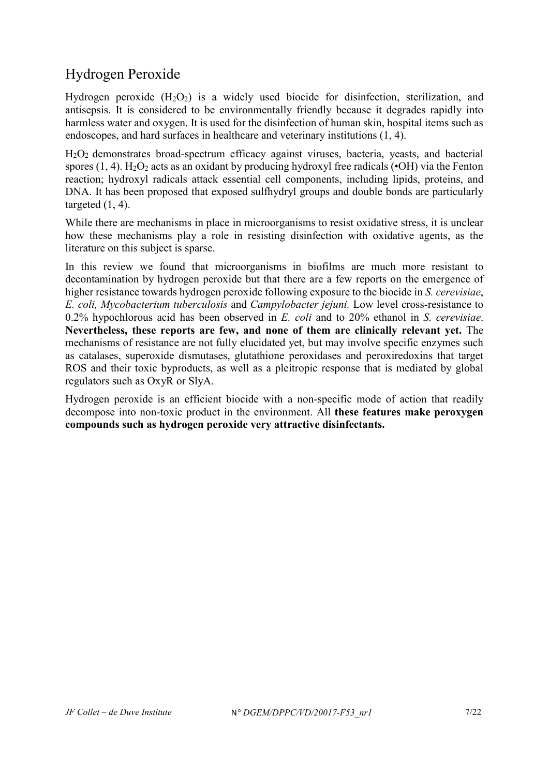# <span id="page-6-0"></span>Hydrogen Peroxide

Hydrogen peroxide  $(H_2O_2)$  is a widely used biocide for disinfection, sterilization, and antisepsis. It is considered to be environmentally friendly because it degrades rapidly into harmless water and oxygen. It is used for the disinfection of human skin, hospital items such as endoscopes, and hard surfaces in healthcare and veterinary institutions (1, 4).

H2O2 demonstrates broad-spectrum efficacy against viruses, bacteria, yeasts, and bacterial spores (1, 4). H<sub>2</sub>O<sub>2</sub> acts as an oxidant by producing hydroxyl free radicals ( $\bullet$ OH) via the Fenton reaction; hydroxyl radicals attack essential cell components, including lipids, proteins, and DNA. It has been proposed that exposed sulfhydryl groups and double bonds are particularly targeted  $(1, 4)$ .

While there are mechanisms in place in microorganisms to resist oxidative stress, it is unclear how these mechanisms play a role in resisting disinfection with oxidative agents, as the literature on this subject is sparse.

In this review we found that microorganisms in biofilms are much more resistant to decontamination by hydrogen peroxide but that there are a few reports on the emergence of higher resistance towards hydrogen peroxide following exposure to the biocide in *S. cerevisiae*, *E. coli, Mycobacterium tuberculosis* and *Campylobacter jejuni.* Low level cross-resistance to 0.2% hypochlorous acid has been observed in *E. coli* and to 20% ethanol in *S. cerevisiae*. **Nevertheless, these reports are few, and none of them are clinically relevant yet.** The mechanisms of resistance are not fully elucidated yet, but may involve specific enzymes such as catalases, superoxide dismutases, glutathione peroxidases and peroxiredoxins that target ROS and their toxic byproducts, as well as a pleitropic response that is mediated by global regulators such as OxyR or SlyA.

Hydrogen peroxide is an efficient biocide with a non-specific mode of action that readily decompose into non-toxic product in the environment. All **these features make peroxygen compounds such as hydrogen peroxide very attractive disinfectants.**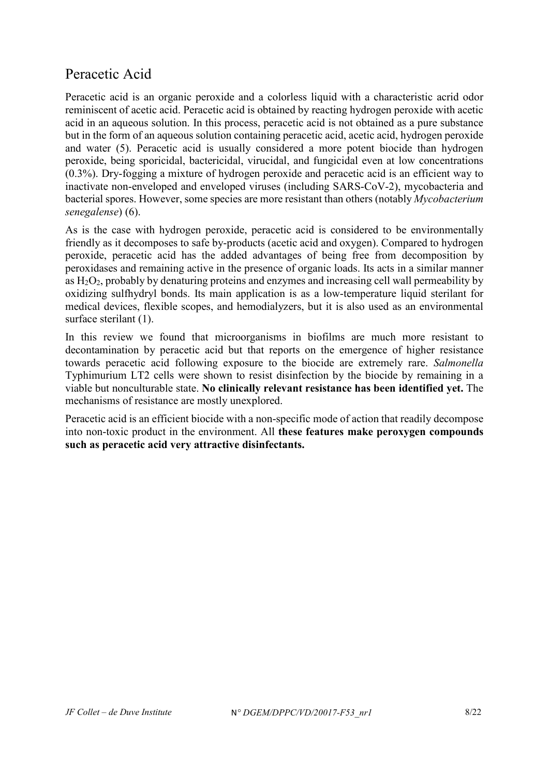### <span id="page-7-0"></span>Peracetic Acid

Peracetic acid is an organic peroxide and a colorless liquid with a characteristic acrid odor reminiscent of acetic acid. Peracetic acid is obtained by reacting hydrogen peroxide with acetic acid in an aqueous solution. In this process, peracetic acid is not obtained as a pure substance but in the form of an aqueous solution containing peracetic acid, acetic acid, hydrogen peroxide and water (5). Peracetic acid is usually considered a more potent biocide than hydrogen peroxide, being sporicidal, bactericidal, virucidal, and fungicidal even at low concentrations (0.3%). Dry-fogging a mixture of hydrogen peroxide and peracetic acid is an efficient way to inactivate non-enveloped and enveloped viruses (including SARS-CoV-2), mycobacteria and bacterial spores. However, some species are more resistant than others (notably *Mycobacterium senegalense*) (6).

As is the case with hydrogen peroxide, peracetic acid is considered to be environmentally friendly as it decomposes to safe by-products (acetic acid and oxygen). Compared to hydrogen peroxide, peracetic acid has the added advantages of being free from decomposition by peroxidases and remaining active in the presence of organic loads. Its acts in a similar manner as  $H_2O_2$ , probably by denaturing proteins and enzymes and increasing cell wall permeability by oxidizing sulfhydryl bonds. Its main application is as a low-temperature liquid sterilant for medical devices, flexible scopes, and hemodialyzers, but it is also used as an environmental surface sterilant (1).

In this review we found that microorganisms in biofilms are much more resistant to decontamination by peracetic acid but that reports on the emergence of higher resistance towards peracetic acid following exposure to the biocide are extremely rare. *Salmonella* Typhimurium LT2 cells were shown to resist disinfection by the biocide by remaining in a viable but nonculturable state. **No clinically relevant resistance has been identified yet.** The mechanisms of resistance are mostly unexplored.

Peracetic acid is an efficient biocide with a non-specific mode of action that readily decompose into non-toxic product in the environment. All **these features make peroxygen compounds such as peracetic acid very attractive disinfectants.**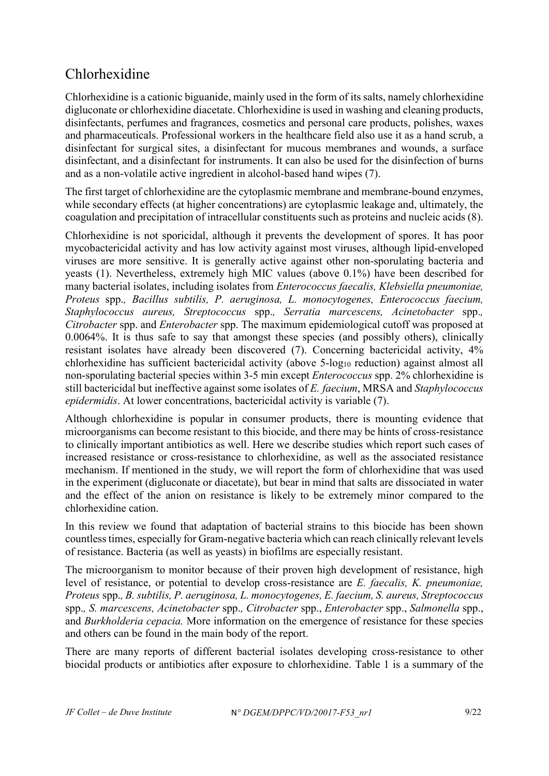# <span id="page-8-0"></span>Chlorhexidine

Chlorhexidine is a cationic biguanide, mainly used in the form of its salts, namely chlorhexidine digluconate or chlorhexidine diacetate. Chlorhexidine is used in washing and cleaning products, disinfectants, perfumes and fragrances, cosmetics and personal care products, polishes, waxes and pharmaceuticals. Professional workers in the healthcare field also use it as a hand scrub, a disinfectant for surgical sites, a disinfectant for mucous membranes and wounds, a surface disinfectant, and a disinfectant for instruments. It can also be used for the disinfection of burns and as a non-volatile active ingredient in alcohol-based hand wipes (7).

The first target of chlorhexidine are the cytoplasmic membrane and membrane-bound enzymes, while secondary effects (at higher concentrations) are cytoplasmic leakage and, ultimately, the coagulation and precipitation of intracellular constituents such as proteins and nucleic acids (8).

Chlorhexidine is not sporicidal, although it prevents the development of spores. It has poor mycobactericidal activity and has low activity against most viruses, although lipid-enveloped viruses are more sensitive. It is generally active against other non-sporulating bacteria and yeasts (1). Nevertheless, extremely high MIC values (above 0.1%) have been described for many bacterial isolates, including isolates from *Enterococcus faecalis, Klebsiella pneumoniae, Proteus* spp.*, Bacillus subtilis, P. aeruginosa, L. monocytogenes, Enterococcus faecium, Staphylococcus aureus, Streptococcus* spp.*, Serratia marcescens, Acinetobacter* spp.*, Citrobacter* spp. and *Enterobacter* spp. The maximum epidemiological cutoff was proposed at 0.0064%. It is thus safe to say that amongst these species (and possibly others), clinically resistant isolates have already been discovered (7). Concerning bactericidal activity, 4% chlorhexidine has sufficient bactericidal activity (above 5-log<sub>10</sub> reduction) against almost all non-sporulating bacterial species within 3-5 min except *Enterococcus* spp. 2% chlorhexidine is still bactericidal but ineffective against some isolates of *E. faecium*, MRSA and *Staphylococcus epidermidis*. At lower concentrations, bactericidal activity is variable (7).

Although chlorhexidine is popular in consumer products, there is mounting evidence that microorganisms can become resistant to this biocide, and there may be hints of cross-resistance to clinically important antibiotics as well. Here we describe studies which report such cases of increased resistance or cross-resistance to chlorhexidine, as well as the associated resistance mechanism. If mentioned in the study, we will report the form of chlorhexidine that was used in the experiment (digluconate or diacetate), but bear in mind that salts are dissociated in water and the effect of the anion on resistance is likely to be extremely minor compared to the chlorhexidine cation.

In this review we found that adaptation of bacterial strains to this biocide has been shown countless times, especially for Gram-negative bacteria which can reach clinically relevant levels of resistance. Bacteria (as well as yeasts) in biofilms are especially resistant.

The microorganism to monitor because of their proven high development of resistance, high level of resistance, or potential to develop cross-resistance are *E. faecalis, K. pneumoniae, Proteus* spp.*, B. subtilis, P. aeruginosa, L. monocytogenes, E. faecium, S. aureus, Streptococcus*  spp.*, S. marcescens, Acinetobacter* spp.*, Citrobacter* spp., *Enterobacter* spp., *Salmonella* spp., and *Burkholderia cepacia.* More information on the emergence of resistance for these species and others can be found in the main body of the report.

There are many reports of different bacterial isolates developing cross-resistance to other biocidal products or antibiotics after exposure to chlorhexidine. [Table 1](#page-9-0) is a summary of the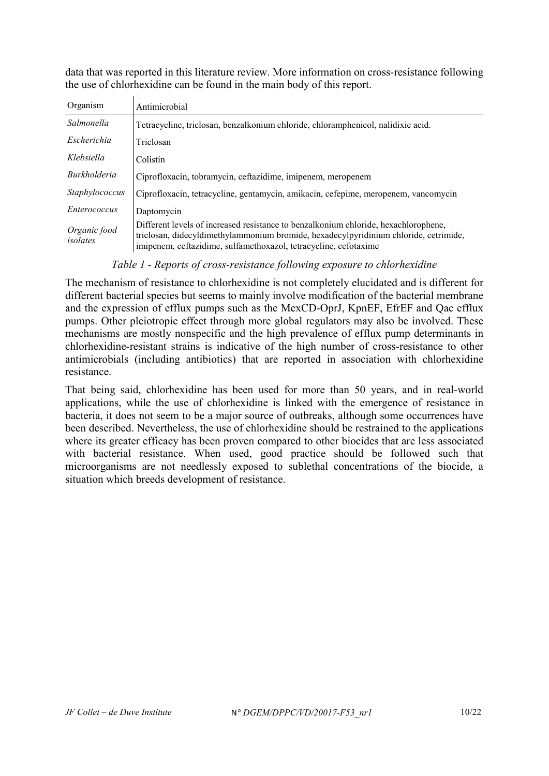data that was reported in this literature review. More information on cross-resistance following the use of chlorhexidine can be found in the main body of this report.

| Organism                 | Antimicrobial                                                                                                                                                                                                                                   |
|--------------------------|-------------------------------------------------------------------------------------------------------------------------------------------------------------------------------------------------------------------------------------------------|
| Salmonella               | Tetracycline, triclosan, benzalkonium chloride, chloramphenicol, nalidixic acid.                                                                                                                                                                |
| Escherichia              | Triclosan                                                                                                                                                                                                                                       |
| Klebsiella               | Colistin                                                                                                                                                                                                                                        |
| <i>Burkholderia</i>      | Ciprofloxacin, tobramycin, ceftazidime, imipenem, meropenem                                                                                                                                                                                     |
| Staphylococcus           | Ciprofloxacin, tetracycline, gentamycin, amikacin, cefepime, meropenem, vancomycin                                                                                                                                                              |
| Enterococcus             | Daptomycin                                                                                                                                                                                                                                      |
| Organic food<br>isolates | Different levels of increased resistance to benzalkonium chloride, hexachlorophene,<br>triclosan, didecyldimethylammonium bromide, hexadecylpyridinium chloride, cetrimide,<br>imipenem, ceftazidime, sulfamethoxazol, tetracycline, cefotaxime |

#### *Table 1 - Reports of cross-resistance following exposure to chlorhexidine*

<span id="page-9-0"></span>The mechanism of resistance to chlorhexidine is not completely elucidated and is different for different bacterial species but seems to mainly involve modification of the bacterial membrane and the expression of efflux pumps such as the MexCD-OprJ, KpnEF, EfrEF and Qac efflux pumps. Other pleiotropic effect through more global regulators may also be involved. These mechanisms are mostly nonspecific and the high prevalence of efflux pump determinants in chlorhexidine-resistant strains is indicative of the high number of cross-resistance to other antimicrobials (including antibiotics) that are reported in association with chlorhexidine resistance.

That being said, chlorhexidine has been used for more than 50 years, and in real-world applications, while the use of chlorhexidine is linked with the emergence of resistance in bacteria, it does not seem to be a major source of outbreaks, although some occurrences have been described. Nevertheless, the use of chlorhexidine should be restrained to the applications where its greater efficacy has been proven compared to other biocides that are less associated with bacterial resistance. When used, good practice should be followed such that microorganisms are not needlessly exposed to sublethal concentrations of the biocide, a situation which breeds development of resistance.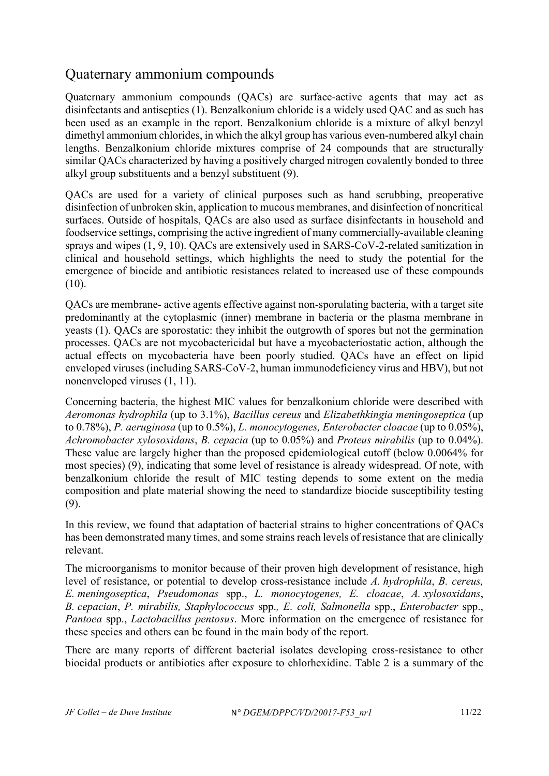### <span id="page-10-0"></span>Quaternary ammonium compounds

Quaternary ammonium compounds (QACs) are surface-active agents that may act as disinfectants and antiseptics (1). Benzalkonium chloride is a widely used QAC and as such has been used as an example in the report. Benzalkonium chloride is a mixture of alkyl benzyl dimethyl ammonium chlorides, in which the alkyl group has various even-numbered alkyl chain lengths. Benzalkonium chloride mixtures comprise of 24 compounds that are structurally similar QACs characterized by having a positively charged nitrogen covalently bonded to three alkyl group substituents and a benzyl substituent (9).

QACs are used for a variety of clinical purposes such as hand scrubbing, preoperative disinfection of unbroken skin, application to mucous membranes, and disinfection of noncritical surfaces. Outside of hospitals, QACs are also used as surface disinfectants in household and foodservice settings, comprising the active ingredient of many commercially-available cleaning sprays and wipes (1, 9, 10). QACs are extensively used in SARS-CoV-2-related sanitization in clinical and household settings, which highlights the need to study the potential for the emergence of biocide and antibiotic resistances related to increased use of these compounds (10).

QACs are membrane- active agents effective against non-sporulating bacteria, with a target site predominantly at the cytoplasmic (inner) membrane in bacteria or the plasma membrane in yeasts (1). QACs are sporostatic: they inhibit the outgrowth of spores but not the germination processes. QACs are not mycobactericidal but have a mycobacteriostatic action, although the actual effects on mycobacteria have been poorly studied. QACs have an effect on lipid enveloped viruses (including SARS-CoV-2, human immunodeficiency virus and HBV), but not nonenveloped viruses (1, 11).

Concerning bacteria, the highest MIC values for benzalkonium chloride were described with *Aeromonas hydrophila* (up to 3.1%), *Bacillus cereus* and *Elizabethkingia meningoseptica* (up to 0.78%), *P. aeruginosa* (up to 0.5%), *L. monocytogenes, Enterobacter cloacae* (up to 0.05%), *Achromobacter xylosoxidans*, *B. cepacia* (up to 0.05%) and *Proteus mirabilis* (up to 0.04%). These value are largely higher than the proposed epidemiological cutoff (below 0.0064% for most species) (9), indicating that some level of resistance is already widespread. Of note, with benzalkonium chloride the result of MIC testing depends to some extent on the media composition and plate material showing the need to standardize biocide susceptibility testing (9).

In this review, we found that adaptation of bacterial strains to higher concentrations of QACs has been demonstrated many times, and some strains reach levels of resistance that are clinically relevant.

The microorganisms to monitor because of their proven high development of resistance, high level of resistance, or potential to develop cross-resistance include *A. hydrophila*, *B. cereus, E. meningoseptica*, *Pseudomonas* spp., *L. monocytogenes, E. cloacae*, *A. xylosoxidans*, *B. cepacian*, *P. mirabilis, Staphylococcus* spp.*, E. coli, Salmonella* spp., *Enterobacter* spp., *Pantoea* spp., *Lactobacillus pentosus*. More information on the emergence of resistance for these species and others can be found in the main body of the report.

There are many reports of different bacterial isolates developing cross-resistance to other biocidal products or antibiotics after exposure to chlorhexidine. [Table 2](#page-11-0) is a summary of the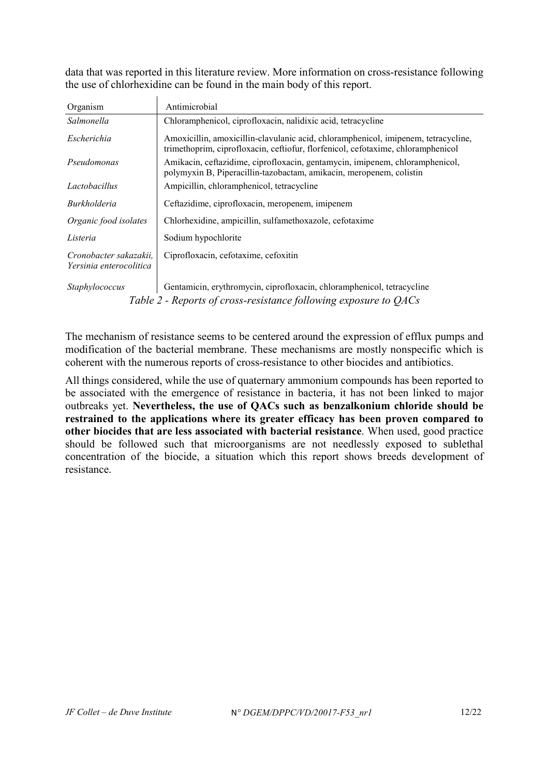data that was reported in this literature review. More information on cross-resistance following the use of chlorhexidine can be found in the main body of this report.

| Organism                                                         | Antimicrobial                                                                                                                                                          |  |  |
|------------------------------------------------------------------|------------------------------------------------------------------------------------------------------------------------------------------------------------------------|--|--|
| Salmonella                                                       | Chloramphenicol, ciprofloxacin, nalidixic acid, tetracycline                                                                                                           |  |  |
| Escherichia                                                      | Amoxicillin, amoxicillin-clavulanic acid, chloramphenicol, imipenem, tetracycline,<br>trimethoprim, ciprofloxacin, ceftiofur, florfenicol, cefotaxime, chloramphenicol |  |  |
| Pseudomonas                                                      | Amikacin, ceftazidime, ciprofloxacin, gentamycin, imipenem, chloramphenicol,<br>polymyxin B, Piperacillin-tazobactam, amikacin, meropenem, colistin                    |  |  |
| Lactobacillus                                                    | Ampicillin, chloramphenicol, tetracycline                                                                                                                              |  |  |
| Burkholderia                                                     | Ceftazidime, ciprofloxacin, meropenem, imipenem                                                                                                                        |  |  |
| Organic food isolates                                            | Chlorhexidine, ampicillin, sulfamethoxazole, cefotaxime                                                                                                                |  |  |
| Listeria                                                         | Sodium hypochlorite                                                                                                                                                    |  |  |
| Cronobacter sakazakii.<br>Yersinia enterocolitica                | Ciprofloxacin, cefotaxime, cefoxitin                                                                                                                                   |  |  |
| Staphylococcus                                                   | Gentamicin, erythromycin, ciprofloxacin, chloramphenicol, tetracycline                                                                                                 |  |  |
| Table 2 - Reports of cross-resistance following exposure to OACs |                                                                                                                                                                        |  |  |

<span id="page-11-0"></span>The mechanism of resistance seems to be centered around the expression of efflux pumps and modification of the bacterial membrane. These mechanisms are mostly nonspecific which is coherent with the numerous reports of cross-resistance to other biocides and antibiotics.

All things considered, while the use of quaternary ammonium compounds has been reported to be associated with the emergence of resistance in bacteria, it has not been linked to major outbreaks yet. **Nevertheless, the use of QACs such as benzalkonium chloride should be restrained to the applications where its greater efficacy has been proven compared to other biocides that are less associated with bacterial resistance**. When used, good practice should be followed such that microorganisms are not needlessly exposed to sublethal concentration of the biocide, a situation which this report shows breeds development of resistance.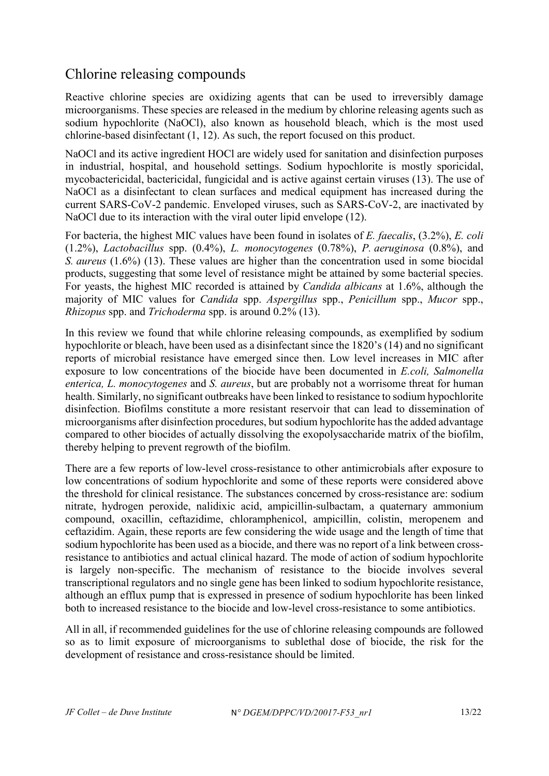### <span id="page-12-0"></span>Chlorine releasing compounds

Reactive chlorine species are oxidizing agents that can be used to irreversibly damage microorganisms. These species are released in the medium by chlorine releasing agents such as sodium hypochlorite (NaOCl), also known as household bleach, which is the most used chlorine-based disinfectant (1, 12). As such, the report focused on this product.

NaOCl and its active ingredient HOCl are widely used for sanitation and disinfection purposes in industrial, hospital, and household settings. Sodium hypochlorite is mostly sporicidal, mycobactericidal, bactericidal, fungicidal and is active against certain viruses (13). The use of NaOCl as a disinfectant to clean surfaces and medical equipment has increased during the current SARS-CoV-2 pandemic. Enveloped viruses, such as SARS-CoV-2, are inactivated by NaOCl due to its interaction with the viral outer lipid envelope (12).

For bacteria, the highest MIC values have been found in isolates of *E. faecalis*, (3.2%), *E. coli* (1.2%), *Lactobacillus* spp. (0.4%), *L. monocytogenes* (0.78%), *P. aeruginosa* (0.8%), and *S. aureus* (1.6%) (13). These values are higher than the concentration used in some biocidal products, suggesting that some level of resistance might be attained by some bacterial species. For yeasts, the highest MIC recorded is attained by *Candida albicans* at 1.6%, although the majority of MIC values for *Candida* spp. *Aspergillus* spp., *Penicillum* spp., *Mucor* spp., *Rhizopus* spp. and *Trichoderma* spp. is around 0.2% (13).

In this review we found that while chlorine releasing compounds, as exemplified by sodium hypochlorite or bleach, have been used as a disinfectant since the 1820's (14) and no significant reports of microbial resistance have emerged since then. Low level increases in MIC after exposure to low concentrations of the biocide have been documented in *E.coli, Salmonella enterica, L. monocytogenes* and *S. aureus*, but are probably not a worrisome threat for human health. Similarly, no significant outbreaks have been linked to resistance to sodium hypochlorite disinfection. Biofilms constitute a more resistant reservoir that can lead to dissemination of microorganisms after disinfection procedures, but sodium hypochlorite has the added advantage compared to other biocides of actually dissolving the exopolysaccharide matrix of the biofilm, thereby helping to prevent regrowth of the biofilm.

There are a few reports of low-level cross-resistance to other antimicrobials after exposure to low concentrations of sodium hypochlorite and some of these reports were considered above the threshold for clinical resistance. The substances concerned by cross-resistance are: sodium nitrate, hydrogen peroxide, nalidixic acid, ampicillin-sulbactam, a quaternary ammonium compound, oxacillin, ceftazidime, chloramphenicol, ampicillin, colistin, meropenem and ceftazidim. Again, these reports are few considering the wide usage and the length of time that sodium hypochlorite has been used as a biocide, and there was no report of a link between crossresistance to antibiotics and actual clinical hazard. The mode of action of sodium hypochlorite is largely non-specific. The mechanism of resistance to the biocide involves several transcriptional regulators and no single gene has been linked to sodium hypochlorite resistance, although an efflux pump that is expressed in presence of sodium hypochlorite has been linked both to increased resistance to the biocide and low-level cross-resistance to some antibiotics.

All in all, if recommended guidelines for the use of chlorine releasing compounds are followed so as to limit exposure of microorganisms to sublethal dose of biocide, the risk for the development of resistance and cross-resistance should be limited.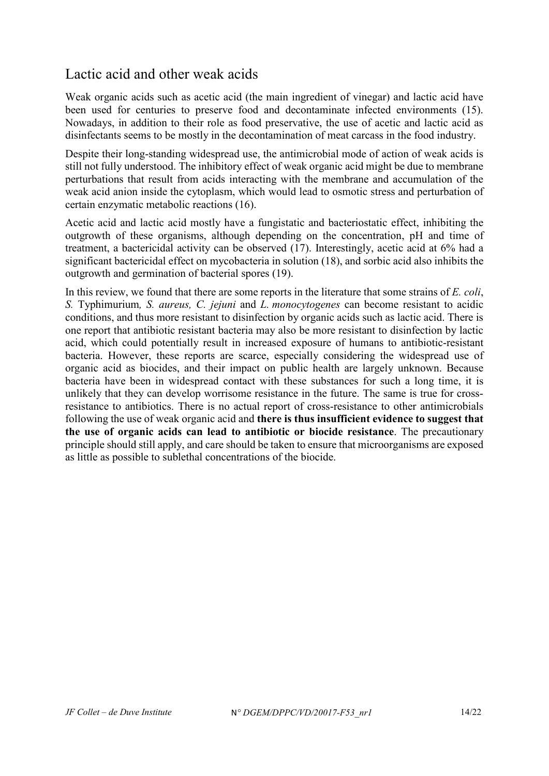### <span id="page-13-0"></span>Lactic acid and other weak acids

Weak organic acids such as acetic acid (the main ingredient of vinegar) and lactic acid have been used for centuries to preserve food and decontaminate infected environments (15). Nowadays, in addition to their role as food preservative, the use of acetic and lactic acid as disinfectants seems to be mostly in the decontamination of meat carcass in the food industry.

Despite their long-standing widespread use, the antimicrobial mode of action of weak acids is still not fully understood. The inhibitory effect of weak organic acid might be due to membrane perturbations that result from acids interacting with the membrane and accumulation of the weak acid anion inside the cytoplasm, which would lead to osmotic stress and perturbation of certain enzymatic metabolic reactions (16).

Acetic acid and lactic acid mostly have a fungistatic and bacteriostatic effect, inhibiting the outgrowth of these organisms, although depending on the concentration, pH and time of treatment, a bactericidal activity can be observed (17). Interestingly, acetic acid at 6% had a significant bactericidal effect on mycobacteria in solution (18), and sorbic acid also inhibits the outgrowth and germination of bacterial spores (19).

In this review, we found that there are some reports in the literature that some strains of *E. coli*, *S.* Typhimurium*, S. aureus, C. jejuni* and *L. monocytogenes* can become resistant to acidic conditions, and thus more resistant to disinfection by organic acids such as lactic acid. There is one report that antibiotic resistant bacteria may also be more resistant to disinfection by lactic acid, which could potentially result in increased exposure of humans to antibiotic-resistant bacteria. However, these reports are scarce, especially considering the widespread use of organic acid as biocides, and their impact on public health are largely unknown. Because bacteria have been in widespread contact with these substances for such a long time, it is unlikely that they can develop worrisome resistance in the future. The same is true for crossresistance to antibiotics. There is no actual report of cross-resistance to other antimicrobials following the use of weak organic acid and **there is thus insufficient evidence to suggest that the use of organic acids can lead to antibiotic or biocide resistance**. The precautionary principle should still apply, and care should be taken to ensure that microorganisms are exposed as little as possible to sublethal concentrations of the biocide.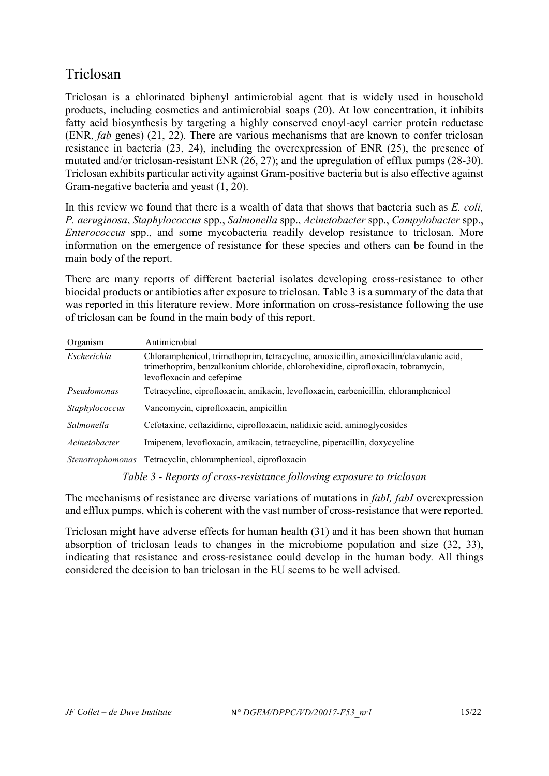# <span id="page-14-0"></span>Triclosan

Triclosan is a chlorinated biphenyl antimicrobial agent that is widely used in household products, including cosmetics and antimicrobial soaps (20). At low concentration, it inhibits fatty acid biosynthesis by targeting a highly conserved enoyl-acyl carrier protein reductase (ENR, *fab* genes) (21, 22). There are various mechanisms that are known to confer triclosan resistance in bacteria (23, 24), including the overexpression of ENR (25), the presence of mutated and/or triclosan-resistant ENR (26, 27); and the upregulation of efflux pumps (28-30). Triclosan exhibits particular activity against Gram-positive bacteria but is also effective against Gram-negative bacteria and yeast (1, 20).

In this review we found that there is a wealth of data that shows that bacteria such as *E. coli, P. aeruginosa*, *Staphylococcus* spp., *Salmonella* spp., *Acinetobacter* spp., *Campylobacter* spp., *Enterococcus* spp., and some mycobacteria readily develop resistance to triclosan. More information on the emergence of resistance for these species and others can be found in the main body of the report.

There are many reports of different bacterial isolates developing cross-resistance to other biocidal products or antibiotics after exposure to triclosan. [Table 3](#page-14-1) is a summary of the data that was reported in this literature review. More information on cross-resistance following the use of triclosan can be found in the main body of this report.

| Organism                | Antimicrobial                                                                                                                                                                                          |
|-------------------------|--------------------------------------------------------------------------------------------------------------------------------------------------------------------------------------------------------|
| Escherichia             | Chloramphenicol, trimethoprim, tetracycline, amoxicillin, amoxicillin/clavulanic acid,<br>trimethoprim, benzalkonium chloride, chlorohexidine, ciprofloxacin, tobramycin,<br>levofloxacin and cefepime |
| Pseudomonas             | Tetracycline, ciprofloxacin, amikacin, levofloxacin, carbenicillin, chloramphenicol                                                                                                                    |
| Staphylococcus          | Vancomycin, ciprofloxacin, ampicillin                                                                                                                                                                  |
| Salmonella              | Cefotaxine, ceftazidime, ciprofloxacin, nalidixic acid, aminoglycosides                                                                                                                                |
| Acinetobacter           | Imipenem, levofloxacin, amikacin, tetracycline, piperacillin, doxycycline                                                                                                                              |
| <i>Stenotrophomonas</i> | Tetracyclin, chloramphenicol, ciprofloxacin                                                                                                                                                            |

*Table 3 - Reports of cross-resistance following exposure to triclosan*

<span id="page-14-1"></span>The mechanisms of resistance are diverse variations of mutations in *fabI, fabI* overexpression and efflux pumps, which is coherent with the vast number of cross-resistance that were reported.

Triclosan might have adverse effects for human health (31) and it has been shown that human absorption of triclosan leads to changes in the microbiome population and size (32, 33), indicating that resistance and cross-resistance could develop in the human body*.* All things considered the decision to ban triclosan in the EU seems to be well advised.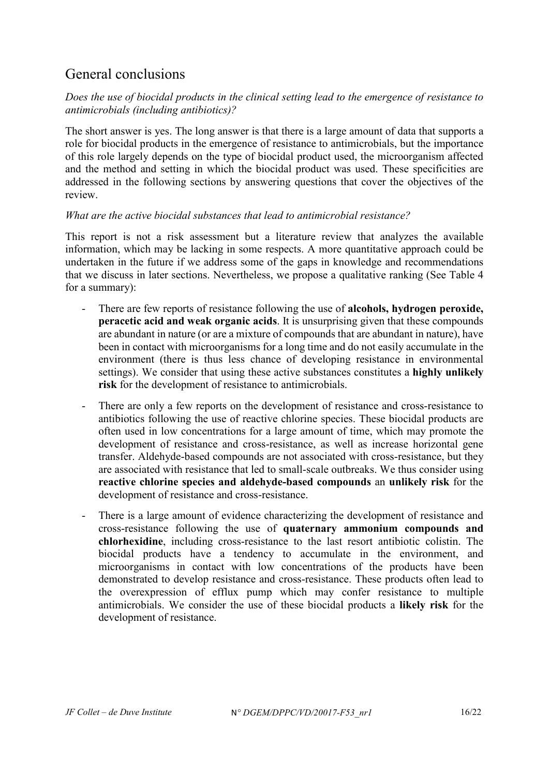### <span id="page-15-0"></span>General conclusions

#### *Does the use of biocidal products in the clinical setting lead to the emergence of resistance to antimicrobials (including antibiotics)?*

The short answer is yes. The long answer is that there is a large amount of data that supports a role for biocidal products in the emergence of resistance to antimicrobials, but the importance of this role largely depends on the type of biocidal product used, the microorganism affected and the method and setting in which the biocidal product was used. These specificities are addressed in the following sections by answering questions that cover the objectives of the review.

#### *What are the active biocidal substances that lead to antimicrobial resistance?*

This report is not a risk assessment but a literature review that analyzes the available information, which may be lacking in some respects. A more quantitative approach could be undertaken in the future if we address some of the gaps in knowledge and recommendations that we discuss in later sections. Nevertheless, we propose a qualitative ranking (See [Table 4](#page-16-0) for a summary):

- There are few reports of resistance following the use of **alcohols, hydrogen peroxide, peracetic acid and weak organic acids**. It is unsurprising given that these compounds are abundant in nature (or are a mixture of compounds that are abundant in nature), have been in contact with microorganisms for a long time and do not easily accumulate in the environment (there is thus less chance of developing resistance in environmental settings). We consider that using these active substances constitutes a **highly unlikely risk** for the development of resistance to antimicrobials.
- There are only a few reports on the development of resistance and cross-resistance to antibiotics following the use of reactive chlorine species. These biocidal products are often used in low concentrations for a large amount of time, which may promote the development of resistance and cross-resistance, as well as increase horizontal gene transfer. Aldehyde-based compounds are not associated with cross-resistance, but they are associated with resistance that led to small-scale outbreaks. We thus consider using **reactive chlorine species and aldehyde-based compounds** an **unlikely risk** for the development of resistance and cross-resistance.
- There is a large amount of evidence characterizing the development of resistance and cross-resistance following the use of **quaternary ammonium compounds and chlorhexidine**, including cross-resistance to the last resort antibiotic colistin. The biocidal products have a tendency to accumulate in the environment, and microorganisms in contact with low concentrations of the products have been demonstrated to develop resistance and cross-resistance. These products often lead to the overexpression of efflux pump which may confer resistance to multiple antimicrobials. We consider the use of these biocidal products a **likely risk** for the development of resistance.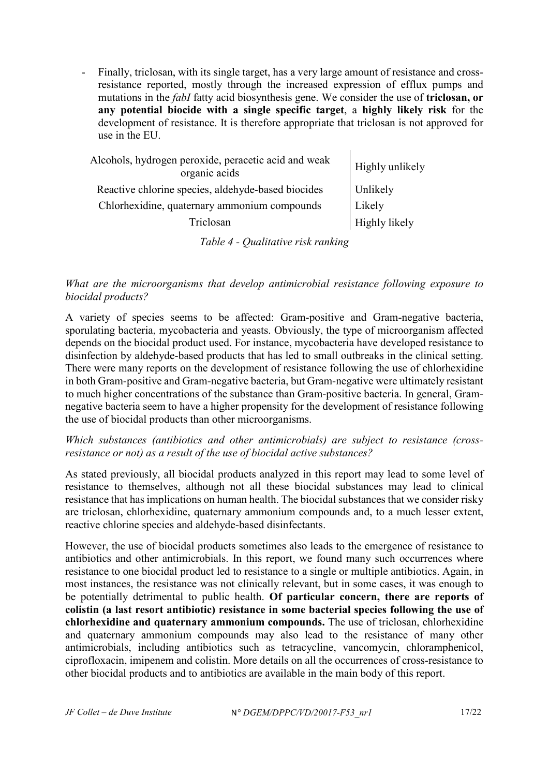Finally, triclosan, with its single target, has a very large amount of resistance and crossresistance reported, mostly through the increased expression of efflux pumps and mutations in the *fabI* fatty acid biosynthesis gene. We consider the use of **triclosan, or any potential biocide with a single specific target**, a **highly likely risk** for the development of resistance. It is therefore appropriate that triclosan is not approved for use in the EU.

| Alcohols, hydrogen peroxide, peracetic acid and weak<br>organic acids | Highly unlikely |
|-----------------------------------------------------------------------|-----------------|
| Reactive chlorine species, aldehyde-based biocides                    | Unlikely        |
| Chlorhexidine, quaternary ammonium compounds                          | Likely          |
| Triclosan                                                             | Highly likely   |
|                                                                       |                 |

*Table 4 - Qualitative risk ranking*

<span id="page-16-0"></span>*What are the microorganisms that develop antimicrobial resistance following exposure to biocidal products?*

A variety of species seems to be affected: Gram-positive and Gram-negative bacteria, sporulating bacteria, mycobacteria and yeasts. Obviously, the type of microorganism affected depends on the biocidal product used. For instance, mycobacteria have developed resistance to disinfection by aldehyde-based products that has led to small outbreaks in the clinical setting. There were many reports on the development of resistance following the use of chlorhexidine in both Gram-positive and Gram-negative bacteria, but Gram-negative were ultimately resistant to much higher concentrations of the substance than Gram-positive bacteria. In general, Gramnegative bacteria seem to have a higher propensity for the development of resistance following the use of biocidal products than other microorganisms.

*Which substances (antibiotics and other antimicrobials) are subject to resistance (crossresistance or not) as a result of the use of biocidal active substances?*

As stated previously, all biocidal products analyzed in this report may lead to some level of resistance to themselves, although not all these biocidal substances may lead to clinical resistance that has implications on human health. The biocidal substances that we consider risky are triclosan, chlorhexidine, quaternary ammonium compounds and, to a much lesser extent, reactive chlorine species and aldehyde-based disinfectants.

However, the use of biocidal products sometimes also leads to the emergence of resistance to antibiotics and other antimicrobials. In this report, we found many such occurrences where resistance to one biocidal product led to resistance to a single or multiple antibiotics. Again, in most instances, the resistance was not clinically relevant, but in some cases, it was enough to be potentially detrimental to public health. **Of particular concern, there are reports of colistin (a last resort antibiotic) resistance in some bacterial species following the use of chlorhexidine and quaternary ammonium compounds.** The use of triclosan, chlorhexidine and quaternary ammonium compounds may also lead to the resistance of many other antimicrobials, including antibiotics such as tetracycline, vancomycin, chloramphenicol, ciprofloxacin, imipenem and colistin. More details on all the occurrences of cross-resistance to other biocidal products and to antibiotics are available in the main body of this report.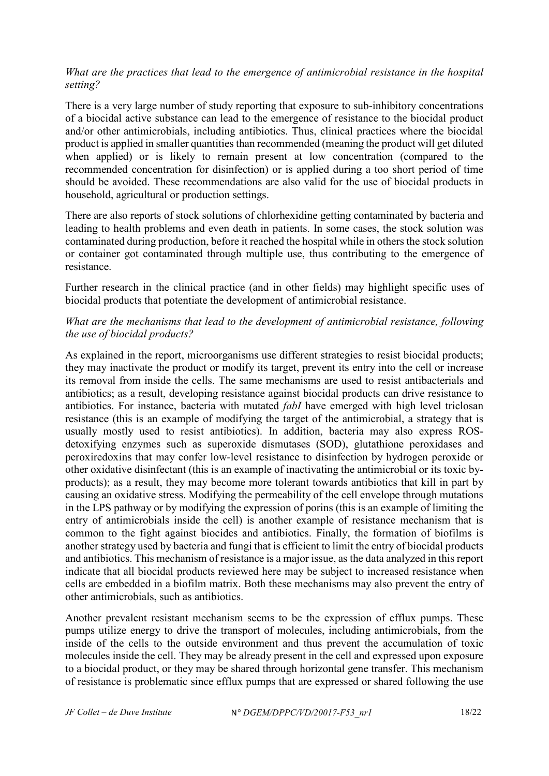#### *What are the practices that lead to the emergence of antimicrobial resistance in the hospital setting?*

There is a very large number of study reporting that exposure to sub-inhibitory concentrations of a biocidal active substance can lead to the emergence of resistance to the biocidal product and/or other antimicrobials, including antibiotics. Thus, clinical practices where the biocidal product is applied in smaller quantities than recommended (meaning the product will get diluted when applied) or is likely to remain present at low concentration (compared to the recommended concentration for disinfection) or is applied during a too short period of time should be avoided. These recommendations are also valid for the use of biocidal products in household, agricultural or production settings.

There are also reports of stock solutions of chlorhexidine getting contaminated by bacteria and leading to health problems and even death in patients. In some cases, the stock solution was contaminated during production, before it reached the hospital while in others the stock solution or container got contaminated through multiple use, thus contributing to the emergence of resistance.

Further research in the clinical practice (and in other fields) may highlight specific uses of biocidal products that potentiate the development of antimicrobial resistance.

#### *What are the mechanisms that lead to the development of antimicrobial resistance, following the use of biocidal products?*

As explained in the report, microorganisms use different strategies to resist biocidal products; they may inactivate the product or modify its target, prevent its entry into the cell or increase its removal from inside the cells. The same mechanisms are used to resist antibacterials and antibiotics; as a result, developing resistance against biocidal products can drive resistance to antibiotics. For instance, bacteria with mutated *fabI* have emerged with high level triclosan resistance (this is an example of modifying the target of the antimicrobial, a strategy that is usually mostly used to resist antibiotics). In addition, bacteria may also express ROSdetoxifying enzymes such as superoxide dismutases (SOD), glutathione peroxidases and peroxiredoxins that may confer low-level resistance to disinfection by hydrogen peroxide or other oxidative disinfectant (this is an example of inactivating the antimicrobial or its toxic byproducts); as a result, they may become more tolerant towards antibiotics that kill in part by causing an oxidative stress. Modifying the permeability of the cell envelope through mutations in the LPS pathway or by modifying the expression of porins (this is an example of limiting the entry of antimicrobials inside the cell) is another example of resistance mechanism that is common to the fight against biocides and antibiotics. Finally, the formation of biofilms is another strategy used by bacteria and fungi that is efficient to limit the entry of biocidal products and antibiotics. This mechanism of resistance is a major issue, as the data analyzed in this report indicate that all biocidal products reviewed here may be subject to increased resistance when cells are embedded in a biofilm matrix. Both these mechanisms may also prevent the entry of other antimicrobials, such as antibiotics.

Another prevalent resistant mechanism seems to be the expression of efflux pumps. These pumps utilize energy to drive the transport of molecules, including antimicrobials, from the inside of the cells to the outside environment and thus prevent the accumulation of toxic molecules inside the cell. They may be already present in the cell and expressed upon exposure to a biocidal product, or they may be shared through horizontal gene transfer. This mechanism of resistance is problematic since efflux pumps that are expressed or shared following the use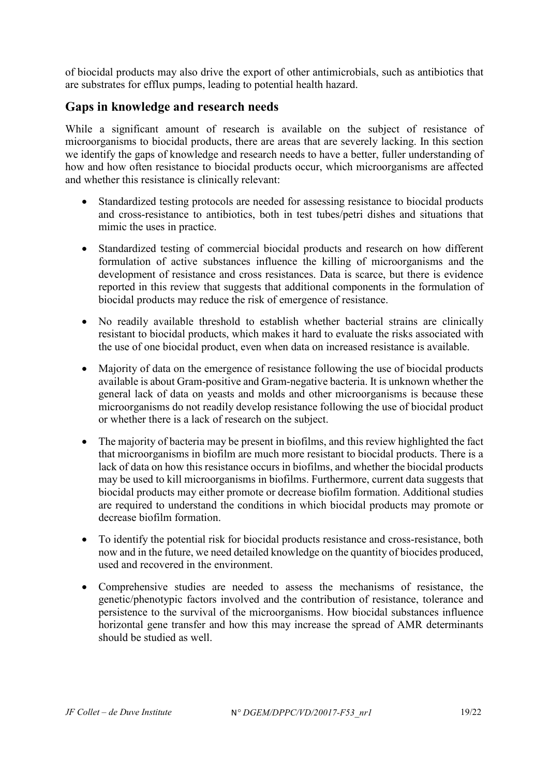of biocidal products may also drive the export of other antimicrobials, such as antibiotics that are substrates for efflux pumps, leading to potential health hazard.

#### <span id="page-18-0"></span>**Gaps in knowledge and research needs**

While a significant amount of research is available on the subject of resistance of microorganisms to biocidal products, there are areas that are severely lacking. In this section we identify the gaps of knowledge and research needs to have a better, fuller understanding of how and how often resistance to biocidal products occur, which microorganisms are affected and whether this resistance is clinically relevant:

- Standardized testing protocols are needed for assessing resistance to biocidal products and cross-resistance to antibiotics, both in test tubes/petri dishes and situations that mimic the uses in practice.
- Standardized testing of commercial biocidal products and research on how different formulation of active substances influence the killing of microorganisms and the development of resistance and cross resistances. Data is scarce, but there is evidence reported in this review that suggests that additional components in the formulation of biocidal products may reduce the risk of emergence of resistance.
- No readily available threshold to establish whether bacterial strains are clinically resistant to biocidal products, which makes it hard to evaluate the risks associated with the use of one biocidal product, even when data on increased resistance is available.
- Majority of data on the emergence of resistance following the use of biocidal products available is about Gram-positive and Gram-negative bacteria. It is unknown whether the general lack of data on yeasts and molds and other microorganisms is because these microorganisms do not readily develop resistance following the use of biocidal product or whether there is a lack of research on the subject.
- The majority of bacteria may be present in biofilms, and this review highlighted the fact that microorganisms in biofilm are much more resistant to biocidal products. There is a lack of data on how this resistance occurs in biofilms, and whether the biocidal products may be used to kill microorganisms in biofilms. Furthermore, current data suggests that biocidal products may either promote or decrease biofilm formation. Additional studies are required to understand the conditions in which biocidal products may promote or decrease biofilm formation.
- To identify the potential risk for biocidal products resistance and cross-resistance, both now and in the future, we need detailed knowledge on the quantity of biocides produced, used and recovered in the environment.
- Comprehensive studies are needed to assess the mechanisms of resistance, the genetic/phenotypic factors involved and the contribution of resistance, tolerance and persistence to the survival of the microorganisms. How biocidal substances influence horizontal gene transfer and how this may increase the spread of AMR determinants should be studied as well.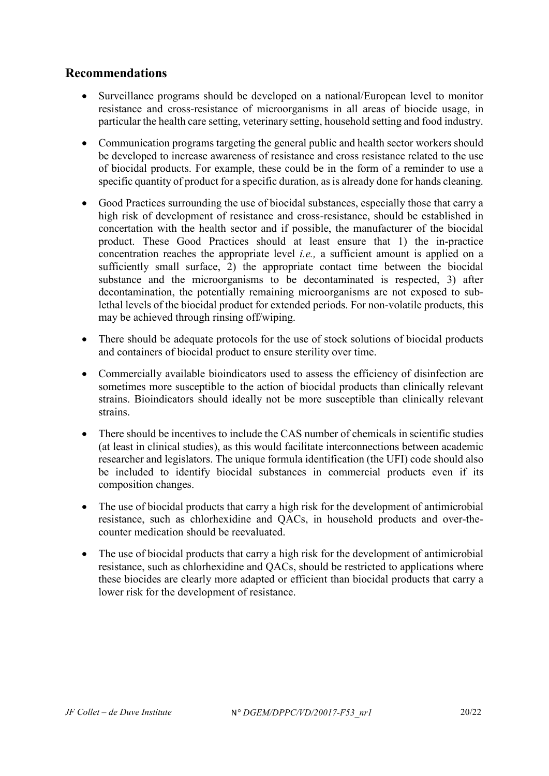#### <span id="page-19-0"></span>**Recommendations**

- Surveillance programs should be developed on a national/European level to monitor resistance and cross-resistance of microorganisms in all areas of biocide usage, in particular the health care setting, veterinary setting, household setting and food industry.
- Communication programs targeting the general public and health sector workers should be developed to increase awareness of resistance and cross resistance related to the use of biocidal products. For example, these could be in the form of a reminder to use a specific quantity of product for a specific duration, as is already done for hands cleaning.
- Good Practices surrounding the use of biocidal substances, especially those that carry a high risk of development of resistance and cross-resistance, should be established in concertation with the health sector and if possible, the manufacturer of the biocidal product. These Good Practices should at least ensure that 1) the in-practice concentration reaches the appropriate level *i.e.,* a sufficient amount is applied on a sufficiently small surface, 2) the appropriate contact time between the biocidal substance and the microorganisms to be decontaminated is respected, 3) after decontamination, the potentially remaining microorganisms are not exposed to sublethal levels of the biocidal product for extended periods. For non-volatile products, this may be achieved through rinsing off/wiping.
- There should be adequate protocols for the use of stock solutions of biocidal products and containers of biocidal product to ensure sterility over time.
- Commercially available bioindicators used to assess the efficiency of disinfection are sometimes more susceptible to the action of biocidal products than clinically relevant strains. Bioindicators should ideally not be more susceptible than clinically relevant strains.
- There should be incentives to include the CAS number of chemicals in scientific studies (at least in clinical studies), as this would facilitate interconnections between academic researcher and legislators. The unique formula identification (the UFI) code should also be included to identify biocidal substances in commercial products even if its composition changes.
- The use of biocidal products that carry a high risk for the development of antimicrobial resistance, such as chlorhexidine and QACs, in household products and over-thecounter medication should be reevaluated.
- The use of biocidal products that carry a high risk for the development of antimicrobial resistance, such as chlorhexidine and QACs, should be restricted to applications where these biocides are clearly more adapted or efficient than biocidal products that carry a lower risk for the development of resistance.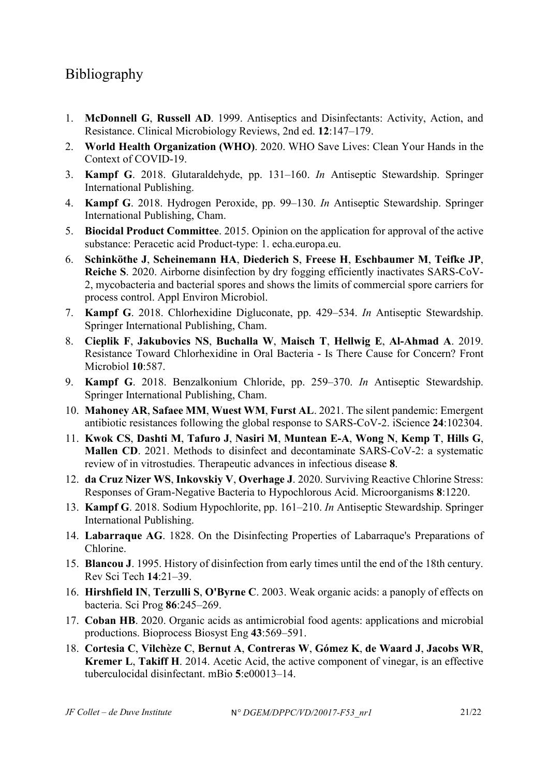# <span id="page-20-0"></span>Bibliography

- 1. **McDonnell G**, **Russell AD**. 1999. Antiseptics and Disinfectants: Activity, Action, and Resistance. Clinical Microbiology Reviews, 2nd ed. **12**:147–179.
- 2. **World Health Organization (WHO)**. 2020. WHO Save Lives: Clean Your Hands in the Context of COVID-19.
- 3. **Kampf G**. 2018. Glutaraldehyde, pp. 131–160. *In* Antiseptic Stewardship. Springer International Publishing.
- 4. **Kampf G**. 2018. Hydrogen Peroxide, pp. 99–130. *In* Antiseptic Stewardship. Springer International Publishing, Cham.
- 5. **Biocidal Product Committee**. 2015. Opinion on the application for approval of the active substance: Peracetic acid Product-type: 1. echa.europa.eu.
- 6. **Schinköthe J**, **Scheinemann HA**, **Diederich S**, **Freese H**, **Eschbaumer M**, **Teifke JP**, **Reiche S**. 2020. Airborne disinfection by dry fogging efficiently inactivates SARS-CoV-2, mycobacteria and bacterial spores and shows the limits of commercial spore carriers for process control. Appl Environ Microbiol.
- 7. **Kampf G**. 2018. Chlorhexidine Digluconate, pp. 429–534. *In* Antiseptic Stewardship. Springer International Publishing, Cham.
- 8. **Cieplik F**, **Jakubovics NS**, **Buchalla W**, **Maisch T**, **Hellwig E**, **Al-Ahmad A**. 2019. Resistance Toward Chlorhexidine in Oral Bacteria - Is There Cause for Concern? Front Microbiol **10**:587.
- 9. **Kampf G**. 2018. Benzalkonium Chloride, pp. 259–370. *In* Antiseptic Stewardship. Springer International Publishing, Cham.
- 10. **Mahoney AR**, **Safaee MM**, **Wuest WM**, **Furst AL**. 2021. The silent pandemic: Emergent antibiotic resistances following the global response to SARS-CoV-2. iScience **24**:102304.
- 11. **Kwok CS**, **Dashti M**, **Tafuro J**, **Nasiri M**, **Muntean E-A**, **Wong N**, **Kemp T**, **Hills G**, **Mallen CD**. 2021. Methods to disinfect and decontaminate SARS-CoV-2: a systematic review of in vitrostudies. Therapeutic advances in infectious disease **8**.
- 12. **da Cruz Nizer WS**, **Inkovskiy V**, **Overhage J**. 2020. Surviving Reactive Chlorine Stress: Responses of Gram-Negative Bacteria to Hypochlorous Acid. Microorganisms **8**:1220.
- 13. **Kampf G**. 2018. Sodium Hypochlorite, pp. 161–210. *In* Antiseptic Stewardship. Springer International Publishing.
- 14. **Labarraque AG**. 1828. On the Disinfecting Properties of Labarraque's Preparations of Chlorine.
- 15. **Blancou J**. 1995. History of disinfection from early times until the end of the 18th century. Rev Sci Tech **14**:21–39.
- 16. **Hirshfield IN**, **Terzulli S**, **O'Byrne C**. 2003. Weak organic acids: a panoply of effects on bacteria. Sci Prog **86**:245–269.
- 17. **Coban HB**. 2020. Organic acids as antimicrobial food agents: applications and microbial productions. Bioprocess Biosyst Eng **43**:569–591.
- 18. **Cortesia C**, **Vilchèze C**, **Bernut A**, **Contreras W**, **Gómez K**, **de Waard J**, **Jacobs WR**, **Kremer L**, **Takiff H**. 2014. Acetic Acid, the active component of vinegar, is an effective tuberculocidal disinfectant. mBio **5**:e00013–14.